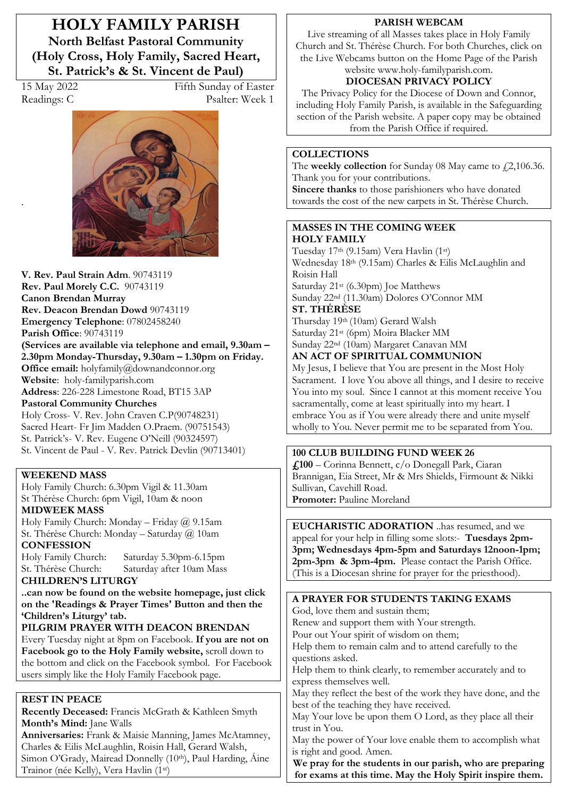**HOLY FAMILY PARISH North Belfast Pastoral Community (Holy Cross, Holy Family, Sacred Heart, St. Patrick's & St. Vincent de Paul)** 

.

15 May 2022 Fifth Sunday of Easter Readings: C Psalter: Week 1



**V. Rev. Paul Strain Adm**. 90743119 **Rev. Paul Morely C.C.** 90743119 **Canon Brendan Murray Rev. Deacon Brendan Dowd** 90743119 **Emergency Telephone**: 07802458240 **Parish Office**: 90743119 (Services are available via telephone and email,  $9.30$ am -

2.30pm Monday-Thursday, 9.30am – 1.30pm on Friday. **Office email:** holyfamily@downandconnor.org **Website**: holy-familyparish.com

**Address**: 226-228 Limestone Road, BT15 3AP **Pastoral Community Churches**

Holy Cross- V. Rev. John Craven C.P(90748231) Sacred Heart- Fr Jim Madden O.Praem. (90751543) St. Patrick's- V. Rev. Eugene O'Neill (90324597) St. Vincent de Paul - V. Rev. Patrick Devlin (90713401)

#### **WEEKEND MASS**

Holy Family Church: 6.30pm Vigil & 11.30am St Thérèse Church: 6pm Vigil, 10am & noon

#### **MIDWEEK MASS**

Holy Family Church: Monday – Friday @ 9.15am St. Thérèse Church: Monday – Saturday @ 10am **CONFESSION**

Holy Family Church: Saturday 5.30pm-6.15pm St. Thérèse Church: Saturday after 10am Mass

### **CHILDREN·S LITURGY**

**..can now be found on the website homepage, just click on the 'Readings & Prayer Times' Button and then the**  'Children's Liturgy' tab.

### **PILGRIM PRAYER WITH DEACON BRENDAN**

Every Tuesday night at 8pm on Facebook. **If you are not on Facebook go to the Holy Family website,** scroll down to the bottom and click on the Facebook symbol. For Facebook users simply like the Holy Family Facebook page.

#### **REST IN PEACE**

**Recently Deceased:** Francis McGrath & Kathleen Smyth **Month's Mind:** Jane Walls

**Anniversaries:** Frank & Maisie Manning, James McAtamney, Charles & Eilis McLaughlin, Roisin Hall, Gerard Walsh, Simon O'Grady, Mairead Donnelly (10th), Paul Harding, Áine Trainor (née Kelly), Vera Havlin (1st)

#### **PARISH WEBCAM**

Live streaming of all Masses takes place in Holy Family Church and St. Thérèse Church. For both Churches, click on the Live Webcams button on the Home Page of the Parish website www.holy-familyparish.com.

## **DIOCESAN PRIVACY POLICY**

The Privacy Policy for the Diocese of Down and Connor, including Holy Family Parish, is available in the Safeguarding section of the Parish website. A paper copy may be obtained from the Parish Office if required.

#### **COLLECTIONS**

The **weekly collection** for Sunday 08 May came to £2,106.36. Thank you for your contributions. **Sincere thanks** to those parishioners who have donated

towards the cost of the new carpets in St. Thérèse Church.

#### **MASSES IN THE COMING WEEK HOLY FAMILY**

Tuesday 17th (9.15am) Vera Havlin (1st) Wednesday 18th (9.15am) Charles & Eilis McLaughlin and Roisin Hall Saturday 21st (6.30pm) Joe Matthews

Sunday 22nd (11.30am) Dolores O'Connor MM **ST. THÉRÈSE** 

Thursday 19th (10am) Gerard Walsh Saturday 21st (6pm) Moira Blacker MM Sunday 22nd (10am) Margaret Canavan MM

### **AN ACT OF SPIRITUAL COMMUNION**

My Jesus, I believe that You are present in the Most Holy Sacrament. I love You above all things, and I desire to receive You into my soul. Since I cannot at this moment receive You sacramentally, come at least spiritually into my heart. I embrace You as if You were already there and unite myself wholly to You. Never permit me to be separated from You.

### **100 CLUB BUILDING FUND WEEK 26**

**£100** – Corinna Bennett, c/o Donegall Park, Ciaran Brannigan, Eia Street, Mr & Mrs Shields, Firmount & Nikki Sullivan, Cavehill Road. **Promoter:** Pauline Moreland

**EUCHARISTIC ADORATION** ..has resumed, and we appeal for your help in filling some slots:- **Tuesdays 2pm-3pm; Wednesdays 4pm-5pm and Saturdays 12noon-1pm; 2pm-3pm & 3pm-4pm.** Please contact the Parish Office. (This is a Diocesan shrine for prayer for the priesthood).

**A PRAYER FOR STUDENTS TAKING EXAMS** God, love them and sustain them; Renew and support them with Your strength. Pour out Your spirit of wisdom on them; Help them to remain calm and to attend carefully to the questions asked. Help them to think clearly, to remember accurately and to express themselves well. May they reflect the best of the work they have done, and the best of the teaching they have received. May Your love be upon them O Lord, as they place all their trust in You. May the power of Your love enable them to accomplish what is right and good. Amen.

**We pray for the students in our parish, who are preparing for exams at this time. May the Holy Spirit inspire them.**